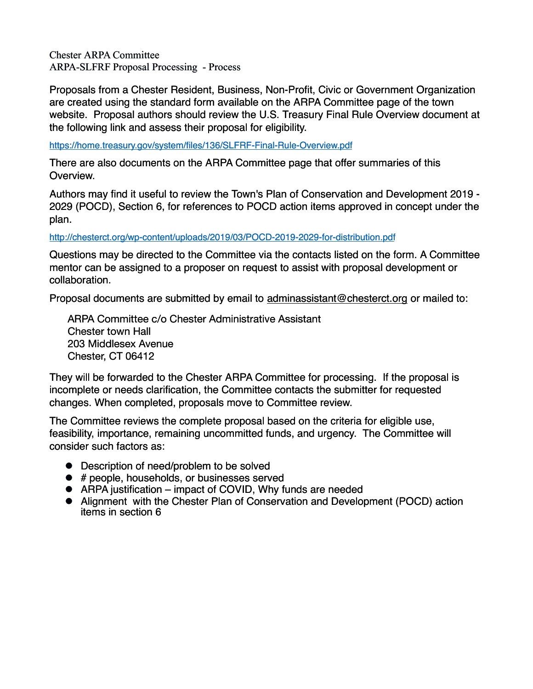Chester ARPA Committee ARPA-SLFRF Proposal Processing - Process

Proposals from a Chester Resident, Business, Non-Profit, Civic or Government Organization are created using the standard form available on the ARPA Committee page of the town website. Proposal authors should review the U.S. Treasury Final Rule Overview document at the following link and assess their proposal for eligibility.

<https://home.treasury.gov/system/files/136/SLFRF-Final-Rule-Overview.pdf>

There are also documents on the ARPA Committee page that offer summaries of this Overview.

Authors may find it useful to review the Town's Plan of Conservation and Development 2019 - 2029 (POCD), Section 6, for references to POCD action items approved in concept under the plan.

<http://chesterct.org/wp-content/uploads/2019/03/POCD-2019-2029-for-distribution.pdf>

Questions may be directed to the Committee via the contacts listed on the form. A Committee mentor can be assigned to a proposer on request to assist with proposal development or collaboration.

Proposal documents are submitted by email to [adminassistant@chesterct.org](mailto:adminassistant@chesterct.org) or mailed to:

ARPA Committee c/o Chester Administrative Assistant Chester town Hall 203 Middlesex Avenue Chester, CT 06412

They will be forwarded to the Chester ARPA Committee for processing. If the proposal is incomplete or needs clarification, the Committee contacts the submitter for requested changes. When completed, proposals move to Committee review.

The Committee reviews the complete proposal based on the criteria for eligible use, feasibility, importance, remaining uncommitted funds, and urgency. The Committee will consider such factors as:

- Description of need/problem to be solved
- $\bullet$  # people, households, or businesses served
- ! ARPA justification impact of COVID, Why funds are needed
- ! Alignment with the Chester Plan of Conservation and Development (POCD) action items in section 6